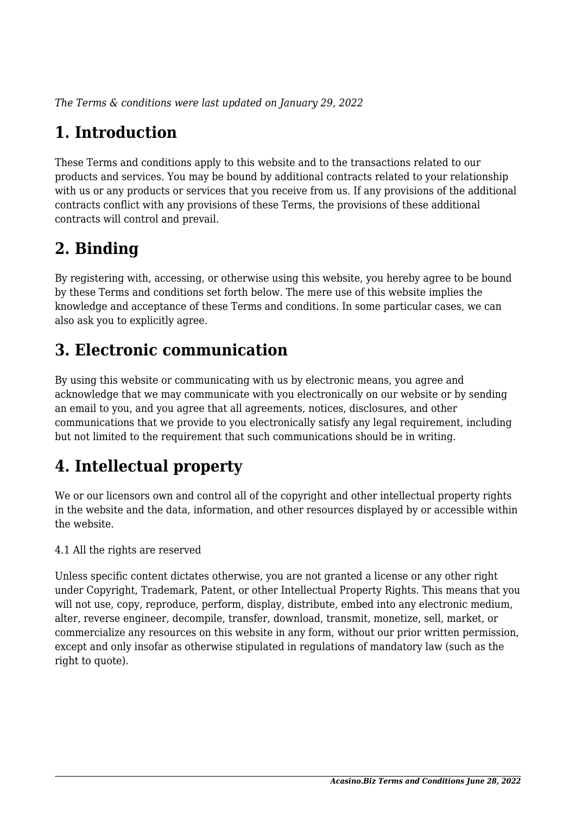*The Terms & conditions were last updated on January 29, 2022*

# **1. Introduction**

These Terms and conditions apply to this website and to the transactions related to our products and services. You may be bound by additional contracts related to your relationship with us or any products or services that you receive from us. If any provisions of the additional contracts conflict with any provisions of these Terms, the provisions of these additional contracts will control and prevail.

## **2. Binding**

By registering with, accessing, or otherwise using this website, you hereby agree to be bound by these Terms and conditions set forth below. The mere use of this website implies the knowledge and acceptance of these Terms and conditions. In some particular cases, we can also ask you to explicitly agree.

## **3. Electronic communication**

By using this website or communicating with us by electronic means, you agree and acknowledge that we may communicate with you electronically on our website or by sending an email to you, and you agree that all agreements, notices, disclosures, and other communications that we provide to you electronically satisfy any legal requirement, including but not limited to the requirement that such communications should be in writing.

# **4. Intellectual property**

We or our licensors own and control all of the copyright and other intellectual property rights in the website and the data, information, and other resources displayed by or accessible within the website.

4.1 All the rights are reserved

Unless specific content dictates otherwise, you are not granted a license or any other right under Copyright, Trademark, Patent, or other Intellectual Property Rights. This means that you will not use, copy, reproduce, perform, display, distribute, embed into any electronic medium, alter, reverse engineer, decompile, transfer, download, transmit, monetize, sell, market, or commercialize any resources on this website in any form, without our prior written permission, except and only insofar as otherwise stipulated in regulations of mandatory law (such as the right to quote).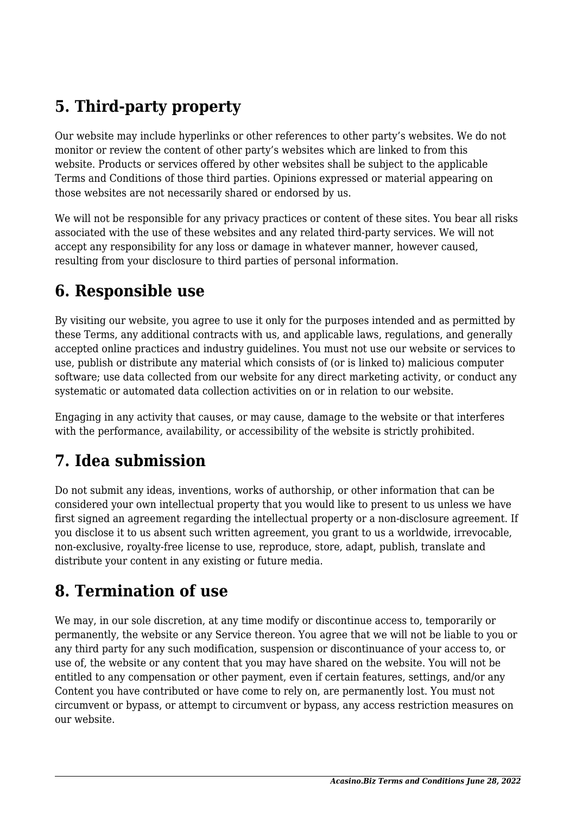## **5. Third-party property**

Our website may include hyperlinks or other references to other party's websites. We do not monitor or review the content of other party's websites which are linked to from this website. Products or services offered by other websites shall be subject to the applicable Terms and Conditions of those third parties. Opinions expressed or material appearing on those websites are not necessarily shared or endorsed by us.

We will not be responsible for any privacy practices or content of these sites. You bear all risks associated with the use of these websites and any related third-party services. We will not accept any responsibility for any loss or damage in whatever manner, however caused, resulting from your disclosure to third parties of personal information.

#### **6. Responsible use**

By visiting our website, you agree to use it only for the purposes intended and as permitted by these Terms, any additional contracts with us, and applicable laws, regulations, and generally accepted online practices and industry guidelines. You must not use our website or services to use, publish or distribute any material which consists of (or is linked to) malicious computer software; use data collected from our website for any direct marketing activity, or conduct any systematic or automated data collection activities on or in relation to our website.

Engaging in any activity that causes, or may cause, damage to the website or that interferes with the performance, availability, or accessibility of the website is strictly prohibited.

## **7. Idea submission**

Do not submit any ideas, inventions, works of authorship, or other information that can be considered your own intellectual property that you would like to present to us unless we have first signed an agreement regarding the intellectual property or a non-disclosure agreement. If you disclose it to us absent such written agreement, you grant to us a worldwide, irrevocable, non-exclusive, royalty-free license to use, reproduce, store, adapt, publish, translate and distribute your content in any existing or future media.

#### **8. Termination of use**

We may, in our sole discretion, at any time modify or discontinue access to, temporarily or permanently, the website or any Service thereon. You agree that we will not be liable to you or any third party for any such modification, suspension or discontinuance of your access to, or use of, the website or any content that you may have shared on the website. You will not be entitled to any compensation or other payment, even if certain features, settings, and/or any Content you have contributed or have come to rely on, are permanently lost. You must not circumvent or bypass, or attempt to circumvent or bypass, any access restriction measures on our website.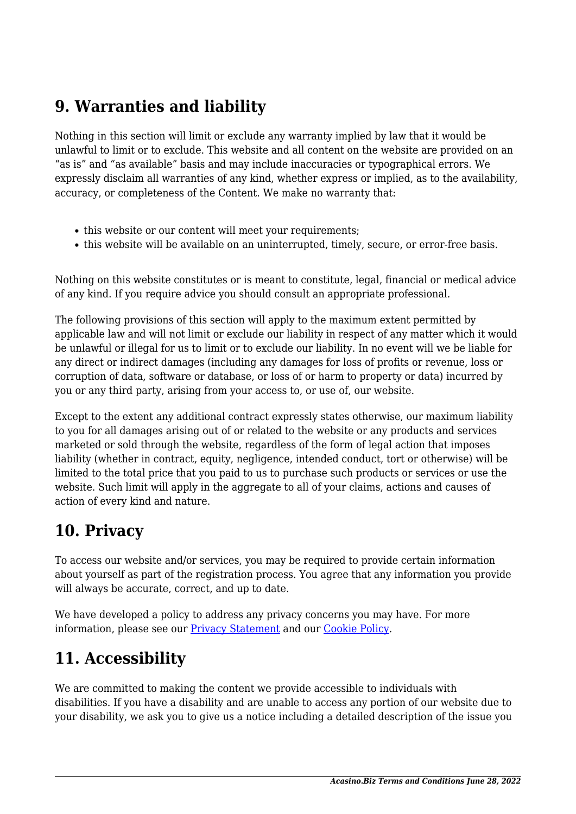#### **9. Warranties and liability**

Nothing in this section will limit or exclude any warranty implied by law that it would be unlawful to limit or to exclude. This website and all content on the website are provided on an "as is" and "as available" basis and may include inaccuracies or typographical errors. We expressly disclaim all warranties of any kind, whether express or implied, as to the availability, accuracy, or completeness of the Content. We make no warranty that:

- this website or our content will meet your requirements;
- this website will be available on an uninterrupted, timely, secure, or error-free basis.

Nothing on this website constitutes or is meant to constitute, legal, financial or medical advice of any kind. If you require advice you should consult an appropriate professional.

The following provisions of this section will apply to the maximum extent permitted by applicable law and will not limit or exclude our liability in respect of any matter which it would be unlawful or illegal for us to limit or to exclude our liability. In no event will we be liable for any direct or indirect damages (including any damages for loss of profits or revenue, loss or corruption of data, software or database, or loss of or harm to property or data) incurred by you or any third party, arising from your access to, or use of, our website.

Except to the extent any additional contract expressly states otherwise, our maximum liability to you for all damages arising out of or related to the website or any products and services marketed or sold through the website, regardless of the form of legal action that imposes liability (whether in contract, equity, negligence, intended conduct, tort or otherwise) will be limited to the total price that you paid to us to purchase such products or services or use the website. Such limit will apply in the aggregate to all of your claims, actions and causes of action of every kind and nature.

#### **10. Privacy**

To access our website and/or services, you may be required to provide certain information about yourself as part of the registration process. You agree that any information you provide will always be accurate, correct, and up to date.

We have developed a policy to address any privacy concerns you may have. For more information, please see our **Privacy Statement** and our Cookie Policy.

# **11. Accessibility**

We are committed to making the content we provide accessible to individuals with disabilities. If you have a disability and are unable to access any portion of our website due to your disability, we ask you to give us a notice including a detailed description of the issue you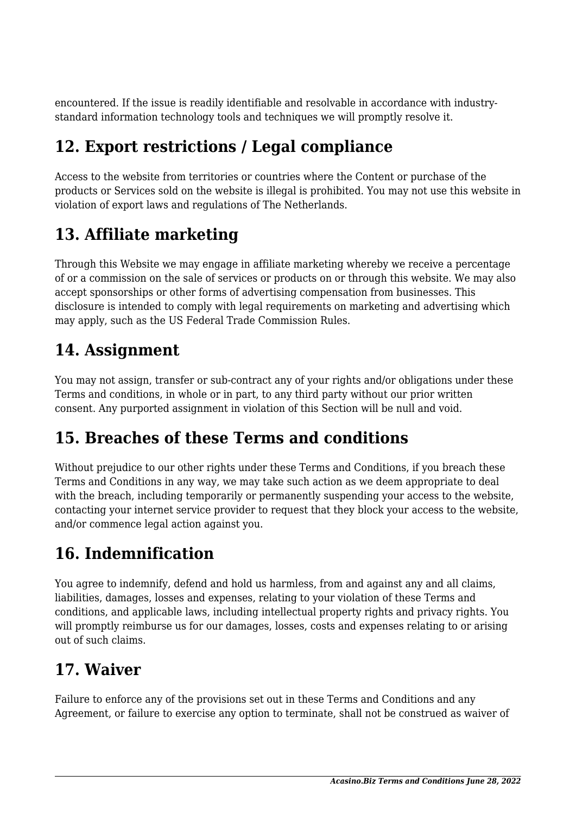encountered. If the issue is readily identifiable and resolvable in accordance with industrystandard information technology tools and techniques we will promptly resolve it.

## **12. Export restrictions / Legal compliance**

Access to the website from territories or countries where the Content or purchase of the products or Services sold on the website is illegal is prohibited. You may not use this website in violation of export laws and regulations of The Netherlands.

# **13. Affiliate marketing**

Through this Website we may engage in affiliate marketing whereby we receive a percentage of or a commission on the sale of services or products on or through this website. We may also accept sponsorships or other forms of advertising compensation from businesses. This disclosure is intended to comply with legal requirements on marketing and advertising which may apply, such as the US Federal Trade Commission Rules.

## **14. Assignment**

You may not assign, transfer or sub-contract any of your rights and/or obligations under these Terms and conditions, in whole or in part, to any third party without our prior written consent. Any purported assignment in violation of this Section will be null and void.

## **15. Breaches of these Terms and conditions**

Without prejudice to our other rights under these Terms and Conditions, if you breach these Terms and Conditions in any way, we may take such action as we deem appropriate to deal with the breach, including temporarily or permanently suspending your access to the website, contacting your internet service provider to request that they block your access to the website, and/or commence legal action against you.

## **16. Indemnification**

You agree to indemnify, defend and hold us harmless, from and against any and all claims, liabilities, damages, losses and expenses, relating to your violation of these Terms and conditions, and applicable laws, including intellectual property rights and privacy rights. You will promptly reimburse us for our damages, losses, costs and expenses relating to or arising out of such claims.

#### **17. Waiver**

Failure to enforce any of the provisions set out in these Terms and Conditions and any Agreement, or failure to exercise any option to terminate, shall not be construed as waiver of